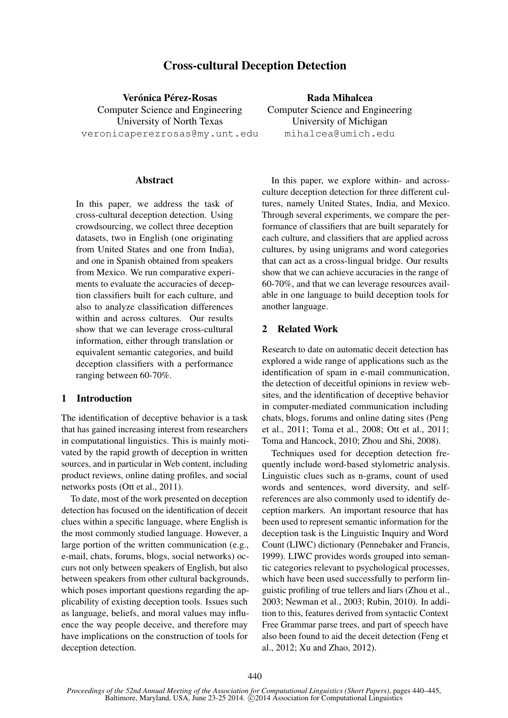# Cross-cultural Deception Detection

Verónica Pérez-Rosas Computer Science and Engineering University of North Texas veronicaperezrosas@my.unt.edu

#### **Abstract**

In this paper, we address the task of cross-cultural deception detection. Using crowdsourcing, we collect three deception datasets, two in English (one originating from United States and one from India), and one in Spanish obtained from speakers from Mexico. We run comparative experiments to evaluate the accuracies of deception classifiers built for each culture, and also to analyze classification differences within and across cultures. Our results show that we can leverage cross-cultural information, either through translation or equivalent semantic categories, and build deception classifiers with a performance ranging between 60-70%.

### 1 Introduction

The identification of deceptive behavior is a task that has gained increasing interest from researchers in computational linguistics. This is mainly motivated by the rapid growth of deception in written sources, and in particular in Web content, including product reviews, online dating profiles, and social networks posts (Ott et al., 2011).

To date, most of the work presented on deception detection has focused on the identification of deceit clues within a specific language, where English is the most commonly studied language. However, a large portion of the written communication (e.g., e-mail, chats, forums, blogs, social networks) occurs not only between speakers of English, but also between speakers from other cultural backgrounds, which poses important questions regarding the applicability of existing deception tools. Issues such as language, beliefs, and moral values may influence the way people deceive, and therefore may have implications on the construction of tools for deception detection.

Rada Mihalcea Computer Science and Engineering University of Michigan mihalcea@umich.edu

In this paper, we explore within- and acrossculture deception detection for three different cultures, namely United States, India, and Mexico. Through several experiments, we compare the performance of classifiers that are built separately for each culture, and classifiers that are applied across cultures, by using unigrams and word categories that can act as a cross-lingual bridge. Our results show that we can achieve accuracies in the range of 60-70%, and that we can leverage resources available in one language to build deception tools for another language.

### 2 Related Work

Research to date on automatic deceit detection has explored a wide range of applications such as the identification of spam in e-mail communication, the detection of deceitful opinions in review websites, and the identification of deceptive behavior in computer-mediated communication including chats, blogs, forums and online dating sites (Peng et al., 2011; Toma et al., 2008; Ott et al., 2011; Toma and Hancock, 2010; Zhou and Shi, 2008).

Techniques used for deception detection frequently include word-based stylometric analysis. Linguistic clues such as n-grams, count of used words and sentences, word diversity, and selfreferences are also commonly used to identify deception markers. An important resource that has been used to represent semantic information for the deception task is the Linguistic Inquiry and Word Count (LIWC) dictionary (Pennebaker and Francis, 1999). LIWC provides words grouped into semantic categories relevant to psychological processes, which have been used successfully to perform linguistic profiling of true tellers and liars (Zhou et al., 2003; Newman et al., 2003; Rubin, 2010). In addition to this, features derived from syntactic Context Free Grammar parse trees, and part of speech have also been found to aid the deceit detection (Feng et al., 2012; Xu and Zhao, 2012).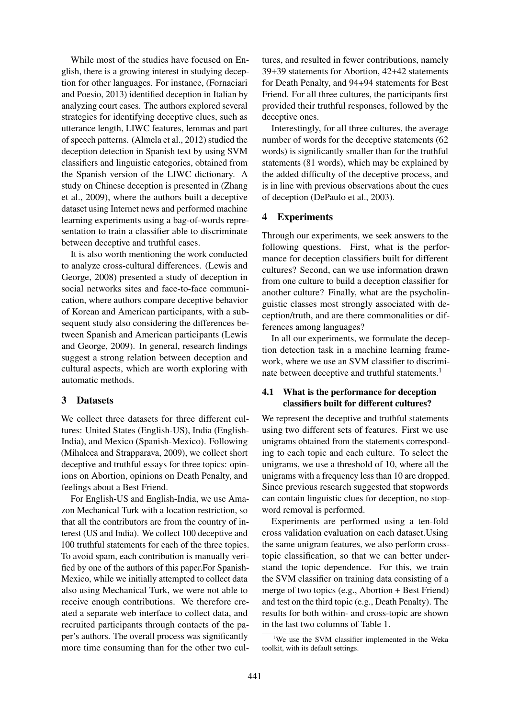While most of the studies have focused on English, there is a growing interest in studying deception for other languages. For instance, (Fornaciari and Poesio, 2013) identified deception in Italian by analyzing court cases. The authors explored several strategies for identifying deceptive clues, such as utterance length, LIWC features, lemmas and part of speech patterns. (Almela et al., 2012) studied the deception detection in Spanish text by using SVM classifiers and linguistic categories, obtained from the Spanish version of the LIWC dictionary. A study on Chinese deception is presented in (Zhang et al., 2009), where the authors built a deceptive dataset using Internet news and performed machine learning experiments using a bag-of-words representation to train a classifier able to discriminate between deceptive and truthful cases.

It is also worth mentioning the work conducted to analyze cross-cultural differences. (Lewis and George, 2008) presented a study of deception in social networks sites and face-to-face communication, where authors compare deceptive behavior of Korean and American participants, with a subsequent study also considering the differences between Spanish and American participants (Lewis and George, 2009). In general, research findings suggest a strong relation between deception and cultural aspects, which are worth exploring with automatic methods.

#### 3 Datasets

We collect three datasets for three different cultures: United States (English-US), India (English-India), and Mexico (Spanish-Mexico). Following (Mihalcea and Strapparava, 2009), we collect short deceptive and truthful essays for three topics: opinions on Abortion, opinions on Death Penalty, and feelings about a Best Friend.

For English-US and English-India, we use Amazon Mechanical Turk with a location restriction, so that all the contributors are from the country of interest (US and India). We collect 100 deceptive and 100 truthful statements for each of the three topics. To avoid spam, each contribution is manually verified by one of the authors of this paper.For Spanish-Mexico, while we initially attempted to collect data also using Mechanical Turk, we were not able to receive enough contributions. We therefore created a separate web interface to collect data, and recruited participants through contacts of the paper's authors. The overall process was significantly more time consuming than for the other two cultures, and resulted in fewer contributions, namely 39+39 statements for Abortion, 42+42 statements for Death Penalty, and 94+94 statements for Best Friend. For all three cultures, the participants first provided their truthful responses, followed by the deceptive ones.

Interestingly, for all three cultures, the average number of words for the deceptive statements (62 words) is significantly smaller than for the truthful statements (81 words), which may be explained by the added difficulty of the deceptive process, and is in line with previous observations about the cues of deception (DePaulo et al., 2003).

### 4 Experiments

Through our experiments, we seek answers to the following questions. First, what is the performance for deception classifiers built for different cultures? Second, can we use information drawn from one culture to build a deception classifier for another culture? Finally, what are the psycholinguistic classes most strongly associated with deception/truth, and are there commonalities or differences among languages?

In all our experiments, we formulate the deception detection task in a machine learning framework, where we use an SVM classifier to discriminate between deceptive and truthful statements.<sup>1</sup>

### 4.1 What is the performance for deception classifiers built for different cultures?

We represent the deceptive and truthful statements using two different sets of features. First we use unigrams obtained from the statements corresponding to each topic and each culture. To select the unigrams, we use a threshold of 10, where all the unigrams with a frequency less than 10 are dropped. Since previous research suggested that stopwords can contain linguistic clues for deception, no stopword removal is performed.

Experiments are performed using a ten-fold cross validation evaluation on each dataset.Using the same unigram features, we also perform crosstopic classification, so that we can better understand the topic dependence. For this, we train the SVM classifier on training data consisting of a merge of two topics (e.g., Abortion + Best Friend) and test on the third topic (e.g., Death Penalty). The results for both within- and cross-topic are shown in the last two columns of Table 1.

<sup>1</sup>We use the SVM classifier implemented in the Weka toolkit, with its default settings.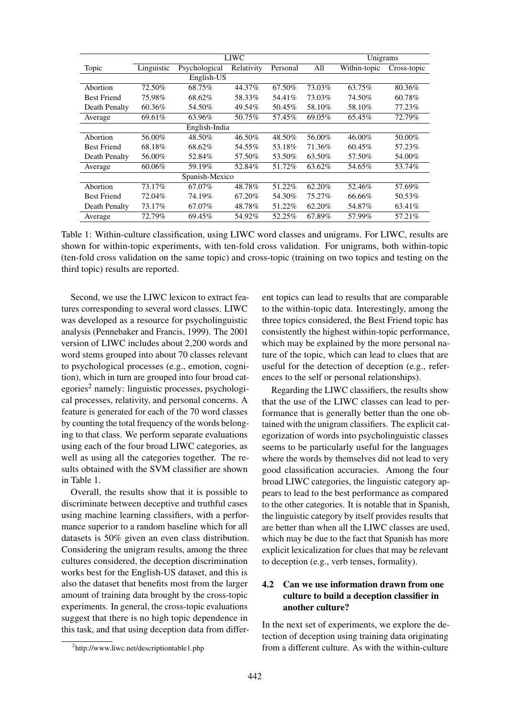|                    | <b>LIWC</b> |               |            |          | Unigrams |              |             |
|--------------------|-------------|---------------|------------|----------|----------|--------------|-------------|
| Topic              | Linguistic  | Psychological | Relativity | Personal | All      | Within-topic | Cross-topic |
|                    | English-US  |               |            |          |          |              |             |
| Abortion           | 72.50%      | 68.75%        | 44.37%     | 67.50%   | 73.03%   | 63.75%       | 80.36%      |
| <b>Best Friend</b> | 75.98%      | 68.62%        | 58.33%     | 54.41%   | 73.03%   | 74.50%       | 60.78%      |
| Death Penalty      | 60.36%      | 54.50%        | 49.54%     | 50.45%   | 58.10%   | 58.10%       | 77.23%      |
| Average            | 69.61%      | 63.96%        | 50.75%     | 57.45%   | 69.05%   | 65.45%       | 72.79%      |
| English-India      |             |               |            |          |          |              |             |
| Abortion           | 56.00%      | 48.50%        | 46.50%     | 48.50%   | 56.00%   | 46.00%       | 50.00%      |
| <b>Best Friend</b> | 68.18%      | 68.62%        | 54.55%     | 53.18%   | 71.36%   | 60.45%       | 57.23%      |
| Death Penalty      | 56.00%      | 52.84%        | 57.50%     | 53.50%   | 63.50%   | 57.50%       | 54.00%      |
| Average            | 60.06%      | 59.19%        | 52.84%     | 51.72%   | 63.62%   | 54.65%       | 53.74%      |
| Spanish-Mexico     |             |               |            |          |          |              |             |
| Abortion           | 73.17%      | 67.07%        | 48.78%     | 51.22%   | 62.20%   | 52.46%       | 57.69%      |
| <b>Best Friend</b> | 72.04%      | 74.19%        | 67.20%     | 54.30%   | 75.27%   | 66.66%       | 50.53%      |
| Death Penalty      | 73.17%      | 67.07%        | 48.78%     | 51.22%   | 62.20%   | 54.87%       | 63.41%      |
| Average            | 72.79%      | 69.45%        | 54.92%     | 52.25%   | 67.89%   | 57.99%       | 57.21%      |

Table 1: Within-culture classification, using LIWC word classes and unigrams. For LIWC, results are shown for within-topic experiments, with ten-fold cross validation. For unigrams, both within-topic (ten-fold cross validation on the same topic) and cross-topic (training on two topics and testing on the third topic) results are reported.

Second, we use the LIWC lexicon to extract features corresponding to several word classes. LIWC was developed as a resource for psycholinguistic analysis (Pennebaker and Francis, 1999). The 2001 version of LIWC includes about 2,200 words and word stems grouped into about 70 classes relevant to psychological processes (e.g., emotion, cognition), which in turn are grouped into four broad cat $egories<sup>2</sup> namely: linguistic processes, psychological$ cal processes, relativity, and personal concerns. A feature is generated for each of the 70 word classes by counting the total frequency of the words belonging to that class. We perform separate evaluations using each of the four broad LIWC categories, as well as using all the categories together. The results obtained with the SVM classifier are shown in Table 1.

Overall, the results show that it is possible to discriminate between deceptive and truthful cases using machine learning classifiers, with a performance superior to a random baseline which for all datasets is 50% given an even class distribution. Considering the unigram results, among the three cultures considered, the deception discrimination works best for the English-US dataset, and this is also the dataset that benefits most from the larger amount of training data brought by the cross-topic experiments. In general, the cross-topic evaluations suggest that there is no high topic dependence in this task, and that using deception data from different topics can lead to results that are comparable to the within-topic data. Interestingly, among the three topics considered, the Best Friend topic has consistently the highest within-topic performance, which may be explained by the more personal nature of the topic, which can lead to clues that are useful for the detection of deception (e.g., references to the self or personal relationships).

Regarding the LIWC classifiers, the results show that the use of the LIWC classes can lead to performance that is generally better than the one obtained with the unigram classifiers. The explicit categorization of words into psycholinguistic classes seems to be particularly useful for the languages where the words by themselves did not lead to very good classification accuracies. Among the four broad LIWC categories, the linguistic category appears to lead to the best performance as compared to the other categories. It is notable that in Spanish, the linguistic category by itself provides results that are better than when all the LIWC classes are used, which may be due to the fact that Spanish has more explicit lexicalization for clues that may be relevant to deception (e.g., verb tenses, formality).

## 4.2 Can we use information drawn from one culture to build a deception classifier in another culture?

In the next set of experiments, we explore the detection of deception using training data originating from a different culture. As with the within-culture

<sup>2</sup> http://www.liwc.net/descriptiontable1.php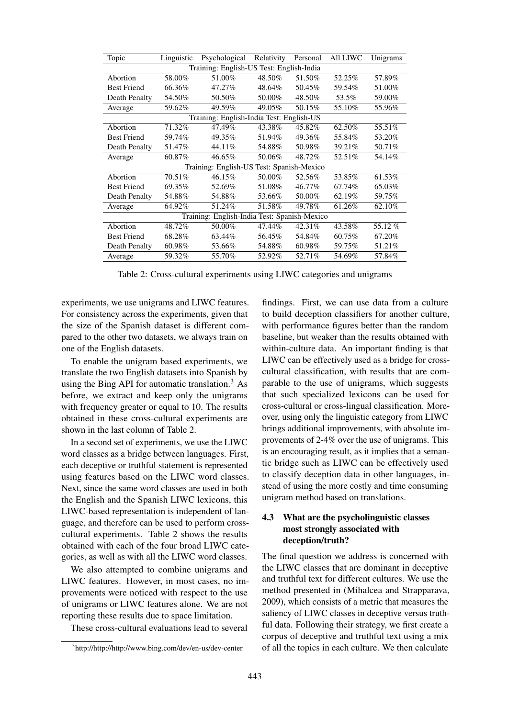| Topic                                        | Linguistic | Psychological | Relativity | Personal | <b>All LIWC</b> | Unigrams |  |
|----------------------------------------------|------------|---------------|------------|----------|-----------------|----------|--|
| Training: English-US Test: English-India     |            |               |            |          |                 |          |  |
| Abortion                                     | 58.00%     | 51.00%        | 48.50%     | 51.50%   | 52.25%          | 57.89%   |  |
| <b>Best Friend</b>                           | 66.36%     | 47.27%        | 48.64%     | 50.45%   | 59.54%          | 51.00%   |  |
| Death Penalty                                | 54.50%     | 50.50%        | 50.00%     | 48.50%   | 53.5%           | 59.00%   |  |
| Average                                      | 59.62%     | 49.59%        | 49.05%     | 50.15%   | 55.10%          | 55.96%   |  |
| Training: English-India Test: English-US     |            |               |            |          |                 |          |  |
| Abortion                                     | 71.32%     | 47.49%        | 43.38%     | 45.82%   | 62.50%          | 55.51%   |  |
| <b>Best Friend</b>                           | 59.74%     | 49.35%        | 51.94%     | 49.36%   | 55.84%          | 53.20%   |  |
| Death Penalty                                | 51.47%     | 44.11%        | 54.88%     | 50.98%   | 39.21%          | 50.71%   |  |
| Average                                      | 60.87%     | 46.65%        | 50.06%     | 48.72%   | 52.51%          | 54.14%   |  |
| Test: Spanish-Mexico<br>Training: English-US |            |               |            |          |                 |          |  |
| Abortion                                     | 70.51%     | 46.15%        | 50.00%     | 52.56%   | 53.85%          | 61.53%   |  |
| <b>Best Friend</b>                           | 69.35%     | 52.69%        | 51.08%     | 46.77%   | 67.74%          | 65.03%   |  |
| Death Penalty                                | 54.88%     | 54.88%        | 53.66%     | 50.00%   | 62.19%          | 59.75%   |  |
| Average                                      | 64.92%     | 51.24%        | 51.58%     | 49.78%   | 61.26%          | 62.10%   |  |
| Training: English-India Test: Spanish-Mexico |            |               |            |          |                 |          |  |
| Abortion                                     | 48.72%     | 50.00%        | 47.44%     | 42.31%   | 43.58%          | 55.12%   |  |
| <b>Best Friend</b>                           | 68.28%     | 63.44%        | 56.45%     | 54.84%   | 60.75%          | 67.20%   |  |
| Death Penalty                                | 60.98%     | 53.66%        | 54.88%     | 60.98%   | 59.75%          | 51.21%   |  |
| Average                                      | 59.32%     | 55.70%        | 52.92%     | 52.71%   | 54.69%          | 57.84%   |  |

Table 2: Cross-cultural experiments using LIWC categories and unigrams

experiments, we use unigrams and LIWC features. For consistency across the experiments, given that the size of the Spanish dataset is different compared to the other two datasets, we always train on one of the English datasets.

To enable the unigram based experiments, we translate the two English datasets into Spanish by using the Bing API for automatic translation. $3$  As before, we extract and keep only the unigrams with frequency greater or equal to 10. The results obtained in these cross-cultural experiments are shown in the last column of Table 2.

In a second set of experiments, we use the LIWC word classes as a bridge between languages. First, each deceptive or truthful statement is represented using features based on the LIWC word classes. Next, since the same word classes are used in both the English and the Spanish LIWC lexicons, this LIWC-based representation is independent of language, and therefore can be used to perform crosscultural experiments. Table 2 shows the results obtained with each of the four broad LIWC categories, as well as with all the LIWC word classes.

We also attempted to combine unigrams and LIWC features. However, in most cases, no improvements were noticed with respect to the use of unigrams or LIWC features alone. We are not reporting these results due to space limitation.

These cross-cultural evaluations lead to several

findings. First, we can use data from a culture to build deception classifiers for another culture, with performance figures better than the random baseline, but weaker than the results obtained with within-culture data. An important finding is that LIWC can be effectively used as a bridge for crosscultural classification, with results that are comparable to the use of unigrams, which suggests that such specialized lexicons can be used for cross-cultural or cross-lingual classification. Moreover, using only the linguistic category from LIWC brings additional improvements, with absolute improvements of 2-4% over the use of unigrams. This is an encouraging result, as it implies that a semantic bridge such as LIWC can be effectively used to classify deception data in other languages, instead of using the more costly and time consuming unigram method based on translations.

## 4.3 What are the psycholinguistic classes most strongly associated with deception/truth?

The final question we address is concerned with the LIWC classes that are dominant in deceptive and truthful text for different cultures. We use the method presented in (Mihalcea and Strapparava, 2009), which consists of a metric that measures the saliency of LIWC classes in deceptive versus truthful data. Following their strategy, we first create a corpus of deceptive and truthful text using a mix of all the topics in each culture. We then calculate

<sup>3</sup> http://http://http://www.bing.com/dev/en-us/dev-center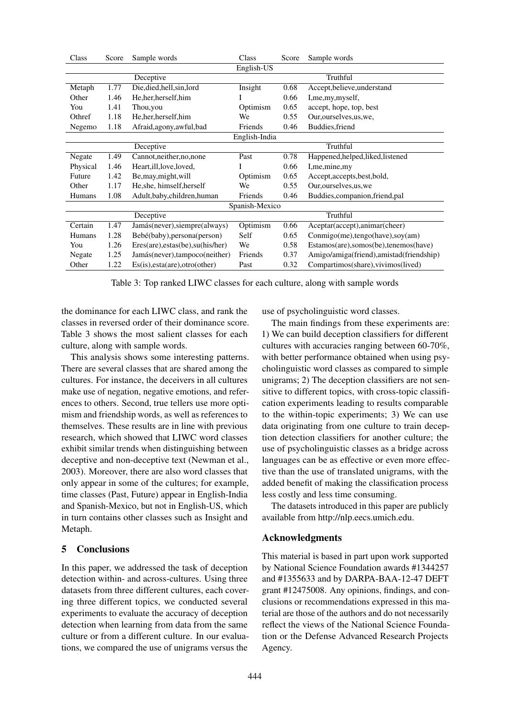| Class          | Score | Sample words<br>Class<br>Score                                 |            | Sample words |                                         |  |
|----------------|-------|----------------------------------------------------------------|------------|--------------|-----------------------------------------|--|
|                |       |                                                                | English-US |              |                                         |  |
| Deceptive      |       |                                                                |            |              | Truthful                                |  |
| Metaph         | 1.77  | Die, died, hell, sin, lord                                     | Insight    | 0.68         | Accept, believe, understand             |  |
| Other          | 1.46  | He, her, herself, him<br>I                                     |            | 0.66         | I, me, my, myself,                      |  |
| You            | 1.41  | Optimism<br>0.65<br>accept, hope, top, best<br>Thou, you       |            |              |                                         |  |
| Othref         | 1.18  | Our, ourselves, us, we,<br>He, her, herself, him<br>0.55<br>We |            |              |                                         |  |
| Negemo         | 1.18  | Afraid, agony, awful, bad                                      | Friends    | 0.46         | Buddies, friend                         |  |
| English-India  |       |                                                                |            |              |                                         |  |
|                |       | Deceptive                                                      |            |              | Truthful                                |  |
| Negate         | 1.49  | Cannot, neither, no, none                                      | Past       | 0.78         | Happened, helped, liked, listened       |  |
| Physical       | 1.46  | Heart, ill, love, loved,                                       |            | 0.66         | I,me,mine,my                            |  |
| Future         | 1.42  | Be, may, might, will                                           | Optimism   | 0.65         | Accept, accepts, best, bold,            |  |
| Other          | 1.17  | He, she, himself, herself                                      | We         | 0.55         | Our, ourselves, us, we                  |  |
| Humans         | 1.08  | Adult, baby, children, human                                   | Friends    | 0.46         | Buddies, companion, friend, pal         |  |
| Spanish-Mexico |       |                                                                |            |              |                                         |  |
|                |       | Deceptive                                                      |            |              | Truthful                                |  |
| Certain        | 1.47  | Jamás(never), siempre(always)                                  | Optimism   | 0.66         | Aceptar(accept),animar(cheer)           |  |
| Humans         | 1.28  | Bebé(baby), persona(person)                                    | Self       | 0.65         | $Commigo(me),tengo(have),soy(am)$       |  |
| You            | 1.26  | Eres(are), estas(be), su(his/her)                              | We         | 0.58         | Estamos(are), somos(be), tenemos(have)  |  |
| Negate         | 1.25  | Jamás(never), tampoco(neither)                                 | Friends    | 0.37         | Amigo/amiga(friend),amistad(friendship) |  |
| Other          | 1.22  | Es(is), esta(are), otro(other)                                 | Past       | 0.32         | Compartimos(share), vivimos(lived)      |  |

Table 3: Top ranked LIWC classes for each culture, along with sample words

the dominance for each LIWC class, and rank the classes in reversed order of their dominance score. Table 3 shows the most salient classes for each culture, along with sample words.

This analysis shows some interesting patterns. There are several classes that are shared among the cultures. For instance, the deceivers in all cultures make use of negation, negative emotions, and references to others. Second, true tellers use more optimism and friendship words, as well as references to themselves. These results are in line with previous research, which showed that LIWC word classes exhibit similar trends when distinguishing between deceptive and non-deceptive text (Newman et al., 2003). Moreover, there are also word classes that only appear in some of the cultures; for example, time classes (Past, Future) appear in English-India and Spanish-Mexico, but not in English-US, which in turn contains other classes such as Insight and Metaph.

## 5 Conclusions

In this paper, we addressed the task of deception detection within- and across-cultures. Using three datasets from three different cultures, each covering three different topics, we conducted several experiments to evaluate the accuracy of deception detection when learning from data from the same culture or from a different culture. In our evaluations, we compared the use of unigrams versus the use of psycholinguistic word classes.

The main findings from these experiments are: 1) We can build deception classifiers for different cultures with accuracies ranging between 60-70%, with better performance obtained when using psycholinguistic word classes as compared to simple unigrams; 2) The deception classifiers are not sensitive to different topics, with cross-topic classification experiments leading to results comparable to the within-topic experiments; 3) We can use data originating from one culture to train deception detection classifiers for another culture; the use of psycholinguistic classes as a bridge across languages can be as effective or even more effective than the use of translated unigrams, with the added benefit of making the classification process less costly and less time consuming.

The datasets introduced in this paper are publicly available from http://nlp.eecs.umich.edu.

## Acknowledgments

This material is based in part upon work supported by National Science Foundation awards #1344257 and #1355633 and by DARPA-BAA-12-47 DEFT grant #12475008. Any opinions, findings, and conclusions or recommendations expressed in this material are those of the authors and do not necessarily reflect the views of the National Science Foundation or the Defense Advanced Research Projects Agency.